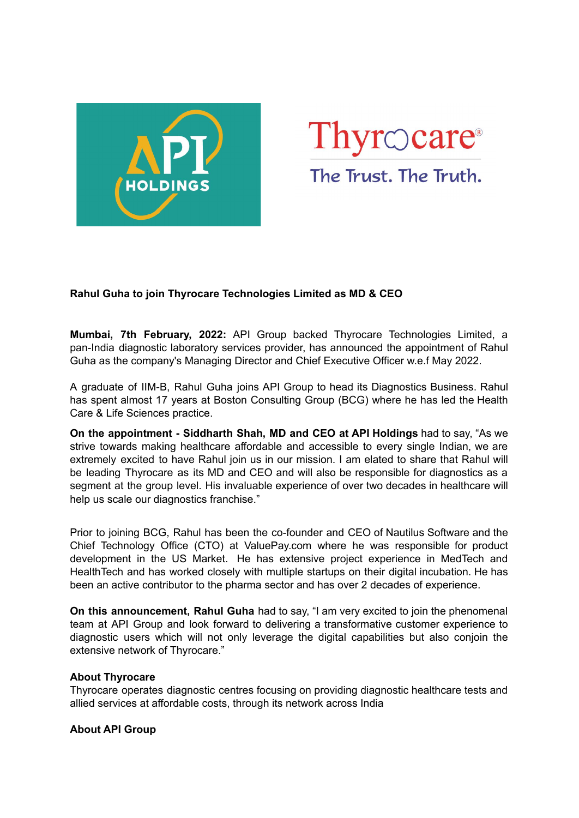



# **Rahul Guha to join Thyrocare Technologies Limited as MD & CEO**

**Mumbai, 7th February, 2022:** API Group backed Thyrocare Technologies Limited, a pan-India diagnostic laboratory services provider, has announced the appointment of Rahul Guha as the company's Managing Director and Chief Executive Officer w.e.f May 2022.

A graduate of IIM-B, Rahul Guha joins API Group to head its Diagnostics Business. Rahul has spent almost 17 years at Boston Consulting Group (BCG) where he has led the Health Care & Life Sciences practice.

**On the appointment - Siddharth Shah, MD and CEO at API Holdings** had to say, "As we strive towards making healthcare affordable and accessible to every single Indian, we are extremely excited to have Rahul join us in our mission. I am elated to share that Rahul will be leading Thyrocare as its MD and CEO and will also be responsible for diagnostics as a segment at the group level. His invaluable experience of over two decades in healthcare will help us scale our diagnostics franchise."

Prior to joining BCG, Rahul has been the co-founder and CEO of Nautilus Software and the Chief Technology Office (CTO) at ValuePay.com where he was responsible for product development in the US Market. He has extensive project experience in MedTech and HealthTech and has worked closely with multiple startups on their digital incubation. He has been an active contributor to the pharma sector and has over 2 decades of experience.

**On this announcement, Rahul Guha** had to say, "I am very excited to join the phenomenal team at API Group and look forward to delivering a transformative customer experience to diagnostic users which will not only leverage the digital capabilities but also conjoin the extensive network of Thyrocare."

### **About Thyrocare**

Thyrocare operates diagnostic centres focusing on providing diagnostic healthcare tests and allied services at affordable costs, through its network across India

#### **About API Group**